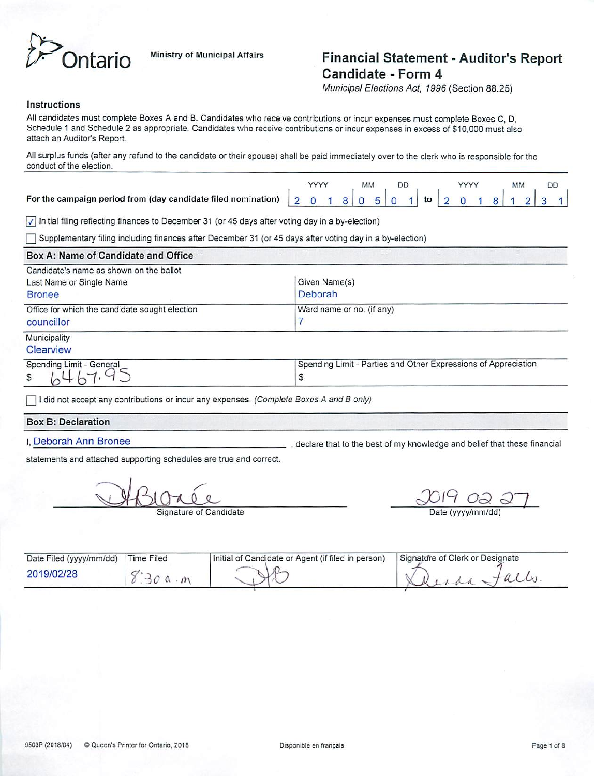

# **htario** Ministry of Municipal Affairs Financial Statement - Auditor's Report Candidate - Form 4

**MunicipalElections Act, 1996** (Section 88.25)

### *Instructions*

All candidates must complete Boxes A and B. Candidates who receive contributions or incur expenses must complete Boxes C, D, Schedule 1 and Schedule 2 as appropriate. Candidates who receive contributions or incur expenses in excess of S10,000 must also attach an Auditor's Report.

All surplus funds (after any refund to the candidate or their spouse) shall be paid immediately over to the clerk who is responsible for the conduct of the election.

|  |  |  | DD |  |  |  |  |  |
|--|--|--|----|--|--|--|--|--|
|  |  |  |    |  |  |  |  |  |

**{7}** Initial filing reflecting finances toDecember 31 (or 45 days after voting day in a by-election)

**~2** Supplementary filing including finances afterDecember 31 (or 45 days after voting dayin a by-election)

#### *Box A: Name of Candidate and Office* Candidate's name as shown on the ballot Last Name or Single Name Given Name(s) Bronee Deborah Ward name or no. (if any) Office for which the candidate sought election 7 councillor Municipality **Clearview** Spending Limit - General Spending Limit - General Spending Limit - Parties and Other Expressions of Appreciation \$ S

**~2** Idid not accept any contributions orincur any expenses. **(Complete Boxes A and B only)**

### *Box B: Declaration*

I. Deborah Ann Bronee , declare that to the best of my knowledge and belief that these financial

statements and attached supporting schedules are true and correct.

**Q^JLSU**

Signature of Candidate

cjQ/9 **OQ Q~l**

Date (yyyy/mm/dd)

| Date Filed (yyyy/mm/dd) | <b>Time Filed</b> | Initial of Candidate or Agent (if filed in person) | Signature of Clerk or Designate |
|-------------------------|-------------------|----------------------------------------------------|---------------------------------|
| 2019/02/28              |                   |                                                    |                                 |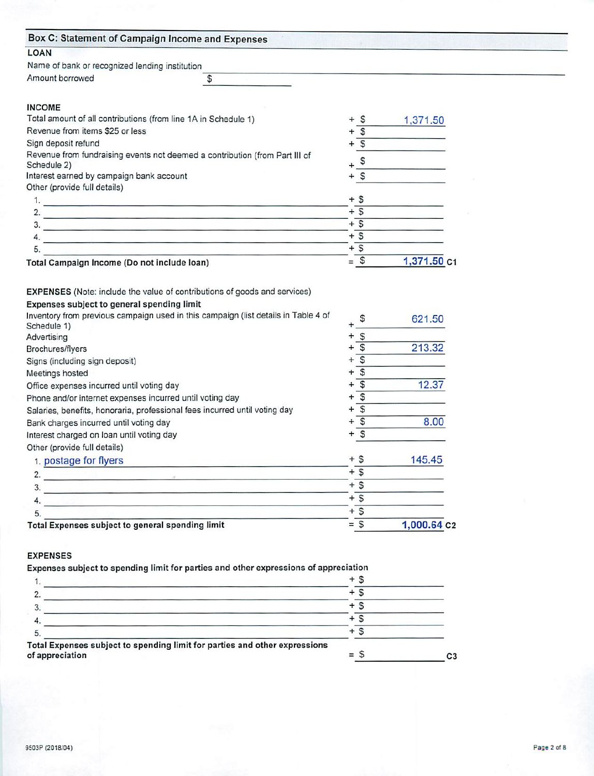| Box C: Statement of Campaign Income and Expenses                                                                            |                               |             |  |
|-----------------------------------------------------------------------------------------------------------------------------|-------------------------------|-------------|--|
| <b>LOAN</b>                                                                                                                 |                               |             |  |
| Name of bank or recognized lending institution                                                                              |                               |             |  |
| Amount borrowed<br>\$                                                                                                       |                               |             |  |
|                                                                                                                             |                               |             |  |
| <b>INCOME</b>                                                                                                               |                               |             |  |
| Total amount of all contributions (from line 1A in Schedule 1)                                                              | $\mathcal{S}$<br>$+$          | 1,371.50    |  |
| Revenue from items \$25 or less                                                                                             | $\mathfrak{g}$<br>$\ddot{}$   |             |  |
| Sign deposit refund                                                                                                         | $\overline{\mathcal{S}}$      |             |  |
| Revenue from fundraising events not deemed a contribution (from Part III of                                                 | $\mathbb S$                   |             |  |
| Schedule 2)                                                                                                                 |                               |             |  |
| Interest earned by campaign bank account                                                                                    | $\mathfrak{s}$<br>$\div$      |             |  |
| Other (provide full details)                                                                                                |                               |             |  |
|                                                                                                                             | $+$ \$                        |             |  |
|                                                                                                                             | $+$ \$                        |             |  |
| $\frac{1}{2}$                                                                                                               | $+$ \$                        |             |  |
| 4.<br><u> De la Carlo de la Carlo de la Carlo de la Carlo de la Carlo de la Carlo de la Carlo de la Carlo de la Carlo d</u> | $+$ \$                        |             |  |
| 5.                                                                                                                          | $+$ \$                        |             |  |
| Total Campaign Income (Do not include loan)                                                                                 | $=$ \$                        | 1,371.50 C1 |  |
| EXPENSES (Note: include the value of contributions of goods and services)                                                   |                               |             |  |
| Expenses subject to general spending limit                                                                                  |                               |             |  |
| Inventory from previous campaign used in this campaign (list details in Table 4 of                                          | \$                            | 621.50      |  |
| Schedule 1)                                                                                                                 |                               |             |  |
| Advertising                                                                                                                 | $\mathbb S$<br>÷              |             |  |
| Brochures/flyers                                                                                                            | $\mathfrak{s}$                | 213.32      |  |
| Signs (including sign deposit)                                                                                              | $\mathcal{S}$<br>÷            |             |  |
| Meetings hosted                                                                                                             | $\mathfrak{s}$<br>÷           |             |  |
| Office expenses incurred until voting day                                                                                   | $\mathfrak{S}$<br>÷           | 12.37       |  |
| Phone and/or internet expenses incurred until voting day                                                                    | $\mathbf{s}$<br>÷             |             |  |
| Salaries, benefits, honoraria, professional fees incurred until voting day                                                  | $\overline{\mathcal{S}}$<br>÷ |             |  |
| Bank charges incurred until voting day                                                                                      | $\overline{\mathbf{s}}$<br>÷  | 8.00        |  |
| Interest charged on loan until voting day                                                                                   | $\mathsf{s}$<br>$\ddot{}$     |             |  |
| Other (provide full details)                                                                                                |                               |             |  |
| 1. postage for flyers                                                                                                       | $+$ \$                        | 145.45      |  |
| 2.                                                                                                                          | $+$ \$                        |             |  |
| 3.<br><u>se professor e preciso de la constancia de la constancia de la constancia de la c</u>                              | $+5$                          |             |  |
| 4.                                                                                                                          | $+\overline{\$}$              |             |  |
| 5.                                                                                                                          | $+$ \$                        |             |  |
| Total Expenses subject to general spending limit                                                                            | $=$ \$                        | 1,000.64 c2 |  |
|                                                                                                                             |                               |             |  |
| <b>EXPENSES</b>                                                                                                             |                               |             |  |
| Expenses subject to spending limit for parties and other expressions of appreciation                                        |                               |             |  |
| 1.                                                                                                                          | $+$ \$                        |             |  |
| 2. $\blacksquare$                                                                                                           | $+5$                          |             |  |
| 3.                                                                                                                          | $+\overline{\mathsf{s}}$      |             |  |

Total Expenses subject to spending limit for parties and other expressions of appreciation  $=$   $\sqrt{ }$  C3

4.  $+$  \$  $+$  S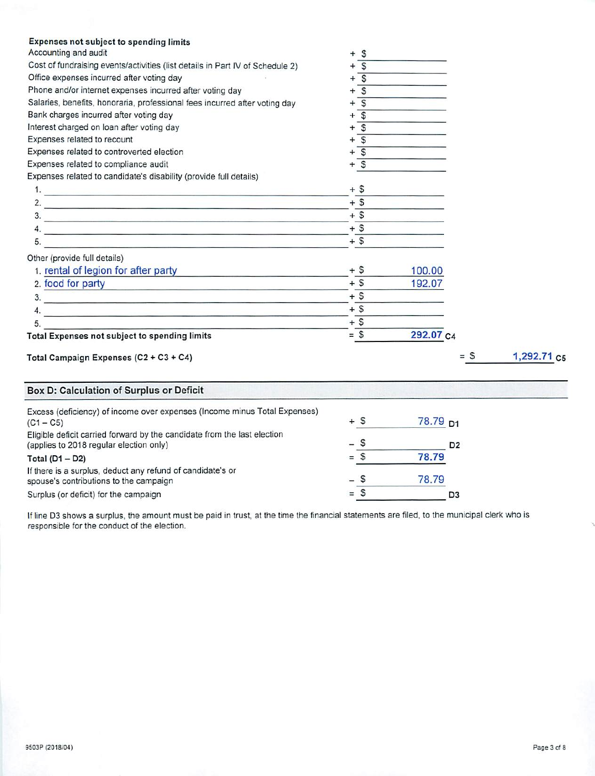| <b>Expenses not subject to spending limits</b><br>Accounting and audit<br>Cost of fundraising events/activities (list details in Part IV of Schedule 2)<br>Office expenses incurred after voting day<br>Phone and/or internet expenses incurred after voting day | \$<br>S<br>$+$ \$<br>$+\overline{\mathsf{s}}$ |           |                |                         |
|------------------------------------------------------------------------------------------------------------------------------------------------------------------------------------------------------------------------------------------------------------------|-----------------------------------------------|-----------|----------------|-------------------------|
| Salaries, benefits, honoraria, professional fees incurred after voting day                                                                                                                                                                                       | $+\overline{s}$                               |           |                |                         |
| Bank charges incurred after voting day                                                                                                                                                                                                                           | $\overline{\mathcal{L}}$<br>$+$               |           |                |                         |
| Interest charged on loan after voting day                                                                                                                                                                                                                        | $\overline{s}$<br>÷                           |           |                |                         |
| Expenses related to recount                                                                                                                                                                                                                                      | $\overline{s}$<br>$^{+}$                      |           |                |                         |
| Expenses related to controverted election                                                                                                                                                                                                                        | $+$ $\overline{S}$                            |           |                |                         |
| Expenses related to compliance audit                                                                                                                                                                                                                             | $+$ \$                                        |           |                |                         |
| Expenses related to candidate's disability (provide full details)                                                                                                                                                                                                |                                               |           |                |                         |
| 1. $\blacksquare$                                                                                                                                                                                                                                                | $+$ \$                                        |           |                |                         |
| 2. $\qquad \qquad$                                                                                                                                                                                                                                               | $+$ \$                                        |           |                |                         |
|                                                                                                                                                                                                                                                                  | $+$ \$                                        |           |                |                         |
| $\mathcal{A}$ .                                                                                                                                                                                                                                                  | $+$ \$                                        |           |                |                         |
| 5.<br>an and the company of the company of the company of the company of the company of the company of the company of the company of the company of the company of the company of the company of the company of the company of the c                             | $+$ \$                                        |           |                |                         |
|                                                                                                                                                                                                                                                                  |                                               |           |                |                         |
| Other (provide full details)                                                                                                                                                                                                                                     | $+$ \$                                        |           |                |                         |
| 1. rental of legion for after party                                                                                                                                                                                                                              |                                               | 100.00    |                |                         |
| 2. food for party                                                                                                                                                                                                                                                | $+$ \$                                        | 192.07    |                |                         |
| $\overline{\mathbf{3}}$ .                                                                                                                                                                                                                                        | $+$ \$                                        |           |                |                         |
| <u>4. – Januar Januar Januar Januar Januar Januar Januar Januar Januar Januar Januar Januar Januar Januar Januar Januar Januar Januar Januar Januar Januar Januar Januar Januar Januar Januar Januar Januar Januar Januar Januar</u>                             | $+$ \$                                        |           |                |                         |
| 5.                                                                                                                                                                                                                                                               | $+$ \$                                        |           |                |                         |
| <b>Total Expenses not subject to spending limits</b>                                                                                                                                                                                                             | $=$ \$                                        | 292.07 c4 |                |                         |
| Total Campaign Expenses (C2 + C3 + C4)                                                                                                                                                                                                                           |                                               |           | $= S$          | 1,292.71 c <sub>5</sub> |
| Box D: Calculation of Surplus or Deficit                                                                                                                                                                                                                         |                                               |           |                |                         |
| Excess (deficiency) of income over expenses (Income minus Total Expenses)<br>$(C1 - C5)$                                                                                                                                                                         | $+$ \$                                        | 78.79 D1  |                |                         |
| Eligible deficit carried forward by the candidate from the last election                                                                                                                                                                                         |                                               |           |                |                         |
| (applies to 2018 regular election only)                                                                                                                                                                                                                          | $\mathbb{S}$                                  |           | D <sub>2</sub> |                         |
| Total $(D1 - D2)$                                                                                                                                                                                                                                                | $=$ \$                                        | 78.79     |                |                         |
| If there is a surplus, deduct any refund of candidate's or                                                                                                                                                                                                       |                                               |           |                |                         |
| spouse's contributions to the campaign                                                                                                                                                                                                                           | S                                             | 78.79     |                |                         |
| Surplus (or deficit) for the campaign                                                                                                                                                                                                                            | $=$ \$                                        |           | D <sub>3</sub> |                         |

Ifline D3 shows a surplus, the amount must be paid in trust, at the time the financialstatements are filed, to the municipal clerk who is responsible for the conduct of the election.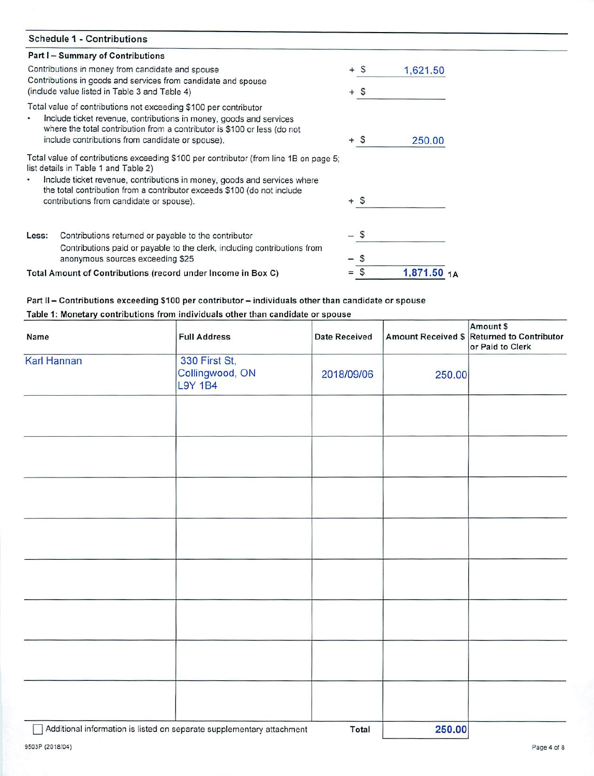| <b>Schedule 1 - Contributions</b>                                                                                                                                                                                                                                      |          |          |  |
|------------------------------------------------------------------------------------------------------------------------------------------------------------------------------------------------------------------------------------------------------------------------|----------|----------|--|
| Part I – Summary of Contributions                                                                                                                                                                                                                                      |          |          |  |
| Contributions in money from candidate and spouse                                                                                                                                                                                                                       | $+$ \$   | 1,621.50 |  |
| Contributions in goods and services from candidate and spouse<br>(include value listed in Table 3 and Table 4)                                                                                                                                                         | $+$ \$   |          |  |
| Total value of contributions not exceeding \$100 per contributor<br>Include ticket revenue, contributions in money, goods and services<br>where the total contribution from a contributor is \$100 or less (do not<br>include contributions from candidate or spouse). | $+$ \$   | 250.00   |  |
| Total value of contributions exceeding \$100 per contributor (from line 1B on page 5;<br>list details in Table 1 and Table 2)<br>Include ticket revenue, contributions in money, goods and services where                                                              |          |          |  |
| the total contribution from a contributor exceeds \$100 (do not include<br>contributions from candidate or spouse).                                                                                                                                                    | $+$ \$   |          |  |
| Contributions returned or payable to the contributor<br>Less:                                                                                                                                                                                                          | – \$     |          |  |
| Contributions paid or payable to the clerk, including contributions from<br>anonymous sources exceeding \$25                                                                                                                                                           | S        |          |  |
| Total Amount of Contributions (record under Income in Box C)                                                                                                                                                                                                           | S<br>$=$ | 1,871.50 |  |

## *Part II-Contributions exceeding \$100 per contributor-individuals other than candidate or spouse*

### *Table 1: Monetary contributions from individuals other than candidate or spouse*

| Name        | <b>Full Address</b>                                | <b>Date Received</b> |        | Amount \$<br>Amount Received \$ Returned to Contributor<br>or Paid to Clerk |
|-------------|----------------------------------------------------|----------------------|--------|-----------------------------------------------------------------------------|
| Karl Hannan | 330 First St,<br>Collingwood, ON<br><b>L9Y 1B4</b> | 2018/09/06           | 250.00 |                                                                             |
|             |                                                    |                      |        |                                                                             |
|             |                                                    |                      |        |                                                                             |
|             |                                                    |                      |        |                                                                             |
|             |                                                    |                      |        |                                                                             |
|             |                                                    |                      |        |                                                                             |
|             |                                                    |                      |        |                                                                             |
|             |                                                    |                      |        |                                                                             |
|             |                                                    |                      |        |                                                                             |
| $-$         |                                                    |                      |        |                                                                             |

~J Additional information islisted on separate supplementary attachment *Total 250.00*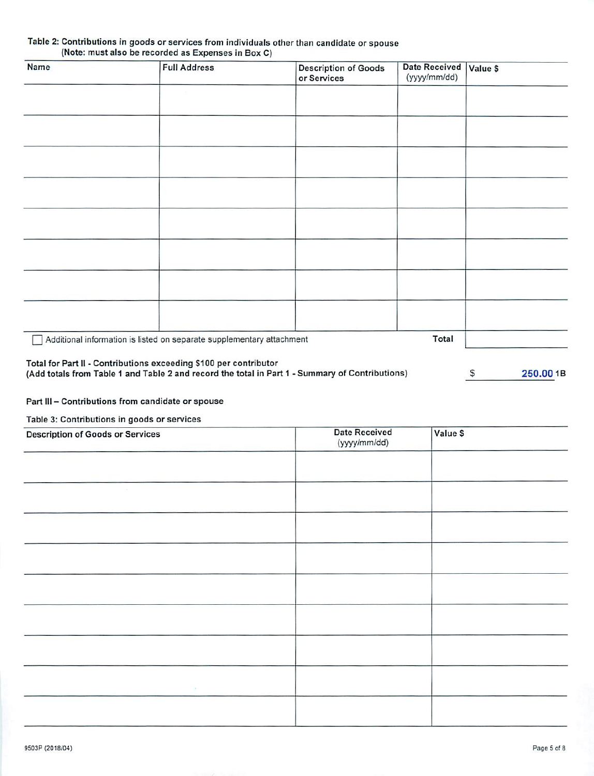### Table 2: Contributions in goods or services from individuals other than candidate or spouse (Note: must also be recorded as Expenses in Box C)

| <b>Name</b>                                                       | <b>Full Address</b>                                                   | <b>Description of Goods</b><br>or Services                                                        | <b>Date Received</b><br>(yyyy/mm/dd) | Value \$           |
|-------------------------------------------------------------------|-----------------------------------------------------------------------|---------------------------------------------------------------------------------------------------|--------------------------------------|--------------------|
|                                                                   |                                                                       |                                                                                                   |                                      |                    |
|                                                                   |                                                                       |                                                                                                   |                                      |                    |
|                                                                   |                                                                       |                                                                                                   |                                      |                    |
|                                                                   |                                                                       |                                                                                                   |                                      |                    |
|                                                                   |                                                                       |                                                                                                   |                                      |                    |
|                                                                   |                                                                       |                                                                                                   |                                      |                    |
|                                                                   |                                                                       |                                                                                                   |                                      |                    |
|                                                                   |                                                                       |                                                                                                   |                                      |                    |
|                                                                   | Additional information is listed on separate supplementary attachment |                                                                                                   | Total                                |                    |
| Total for Part II - Contributions exceeding \$100 per contributor |                                                                       | officers and the component there are not the component with the component of the component of the |                                      | $\sim$<br>$\cdots$ |

# (Add totals from Table 1 and Table 2 and record the total in Part 1 - Summary of Contributions)

 $S$ 250.00 1B

### Part III - Contributions from candidate or spouse

### Table 3: Contributions in goods or services

| <b>Description of Goods or Services</b> | <b>Date Received</b><br>(yyyy/mm/dd) | Value \$ |  |
|-----------------------------------------|--------------------------------------|----------|--|
|                                         |                                      |          |  |
|                                         |                                      |          |  |
|                                         |                                      |          |  |
|                                         |                                      |          |  |
|                                         |                                      |          |  |
|                                         |                                      |          |  |
|                                         |                                      |          |  |
|                                         |                                      |          |  |
| $\sim$                                  |                                      |          |  |
|                                         |                                      |          |  |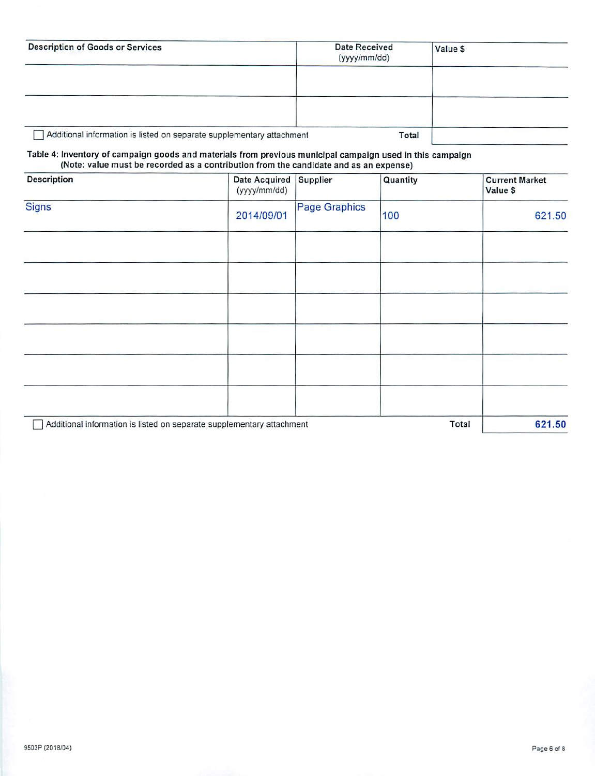| <b>Description of Goods or Services</b>                                                                   |                                                                                       | Date Received<br>(yyyy/mm/dd) |          | Value \$ |                                   |
|-----------------------------------------------------------------------------------------------------------|---------------------------------------------------------------------------------------|-------------------------------|----------|----------|-----------------------------------|
|                                                                                                           |                                                                                       |                               |          |          |                                   |
| Table 4: Inventory of campaign goods and materials from previous municipal campaign used in this campaign | Additional information is listed on separate supplementary attachment                 |                               | Total    |          |                                   |
|                                                                                                           | (Note: value must be recorded as a contribution from the candidate and as an expense) |                               |          |          |                                   |
| <b>Description</b>                                                                                        | <b>Date Acquired</b><br>(yyyy/mm/dd)                                                  | <b>Supplier</b>               | Quantity |          | <b>Current Market</b><br>Value \$ |
| <b>Signs</b>                                                                                              | 2014/09/01                                                                            | <b>Page Graphics</b>          | 100      |          | 621.50                            |

|                                                                       | Z014/09/01 | 10U   | 621.50 |
|-----------------------------------------------------------------------|------------|-------|--------|
|                                                                       |            |       |        |
|                                                                       |            |       |        |
|                                                                       |            |       |        |
|                                                                       |            |       |        |
|                                                                       |            |       |        |
|                                                                       |            |       |        |
| Additional information is listed on separate supplementary attachment |            | Total | 621.50 |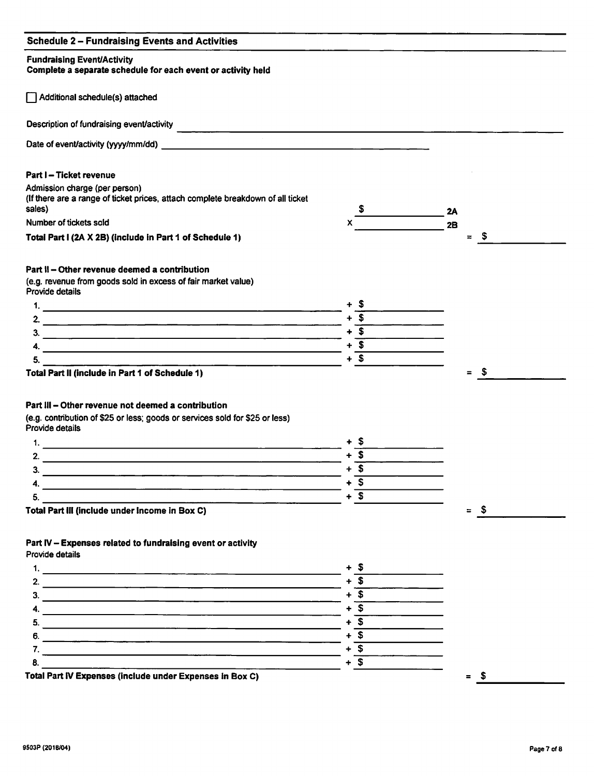### *Schedule 2 - Fundraising Events and Activities*

### *Fundraising Event/Activity*

### *Complete a separate schedule for each event or activity held*

[~J Additional schedule(s) attached

Description of fundraising event/activity

Date of event/activity (yyyy/mm/dd) example of the state of event activity (yyyy/mm/dd)

### *Part I* - *Ticket revenue*

| Admission charge (per person)                                                   |  |    |
|---------------------------------------------------------------------------------|--|----|
| (If there are a range of ticket prices, attach complete breakdown of all ticket |  |    |
| sales)                                                                          |  | 2A |
| Number of tickets sold                                                          |  | 2B |

*Total Part I (2A X 2B) (include in Part 1 of Schedule 1)*

### *Part II - Other revenue deemed a contribution*

(e.g. revenue from goods sold in excess of fair market value) Provide details



*Total Part II(include in Part 1 of Schedule 1)*

### *Part III - Other revenue not deemed a contribution*

(e.g. contribution of \$25 or less; goods or services sold for \$25 or less) Provide details



### *Part IV- Expenses related to fundraising event or activity*

Provide details



 $=$  \$

 $=$  \$

*= S*

 $=$  \$